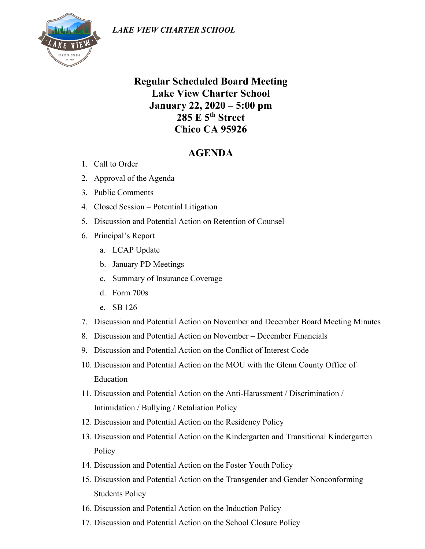

## **Regular Scheduled Board Meeting Lake View Charter School January 22, 2020 – 5:00 pm 285 E 5th Street Chico CA 95926**

## **AGENDA**

- 1. Call to Order
- 2. Approval of the Agenda
- 3. Public Comments
- 4. Closed Session Potential Litigation
- 5. Discussion and Potential Action on Retention of Counsel
- 6. Principal's Report
	- a. LCAP Update
	- b. January PD Meetings
	- c. Summary of Insurance Coverage
	- d. Form 700s
	- e. SB 126
- 7. Discussion and Potential Action on November and December Board Meeting Minutes
- 8. Discussion and Potential Action on November December Financials
- 9. Discussion and Potential Action on the Conflict of Interest Code
- 10. Discussion and Potential Action on the MOU with the Glenn County Office of Education
- 11. Discussion and Potential Action on the Anti-Harassment / Discrimination / Intimidation / Bullying / Retaliation Policy
- 12. Discussion and Potential Action on the Residency Policy
- 13. Discussion and Potential Action on the Kindergarten and Transitional Kindergarten Policy
- 14. Discussion and Potential Action on the Foster Youth Policy
- 15. Discussion and Potential Action on the Transgender and Gender Nonconforming Students Policy
- 16. Discussion and Potential Action on the Induction Policy
- 17. Discussion and Potential Action on the School Closure Policy